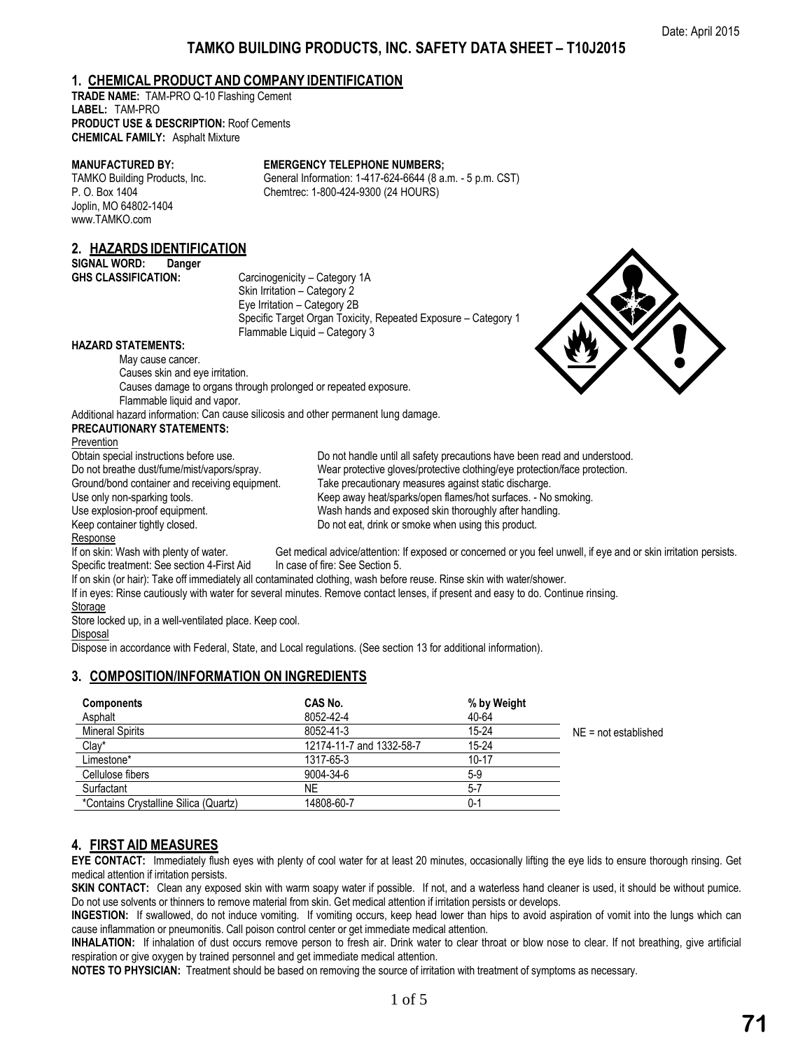# **TAMKO BUILDING PRODUCTS, INC. SAFETY DATA SHEET – T10J2015**

# **1. CHEMICAL PRODUCT AND COMPANY IDENTIFICATION**

**TRADE NAME:** TAM-PRO Q-10 Flashing Cement **LABEL:** TAM-PRO **PRODUCT USE & DESCRIPTION:** Roof Cements **CHEMICAL FAMILY:** Asphalt Mixture

#### **MANUFACTURED BY: EMERGENCY TELEPHONE NUMBERS;**

TAMKO Building Products, Inc. General Information: 1-417-624-6644 (8 a.m. - 5 p.m. CST) P. O. Box 1404 Chemtrec: 1-800-424-9300 (24 HOURS) Joplin, MO 64802-1404 www.TAMKO.com

# **2. HAZARDS IDENTIFICATION**

**SIGNAL WORD: Danger**

Carcinogenicity – Category 1A Skin Irritation – Category 2 Eye Irritation – Category 2B Specific Target Organ Toxicity, Repeated Exposure – Category 1 Flammable Liquid – Category 3

### **HAZARD STATEMENTS:**

May cause cancer. Causes skin and eye irritation. Causes damage to organs through prolonged or repeated exposure. Flammable liquid and vapor.

Additional hazard information: Can cause silicosis and other permanent lung damage.

### **PRECAUTIONARY STATEMENTS:**

Prevention<br>Obtain special instructions before use. Response

Do not breathe dust/fume/mist/vapors/spray. Wear protective gloves/protective clothing/eye protection/face protection.<br>Ground/bond container and receiving equipment. Take precautionary measures against static discharge. Take precautionary measures against static discharge. Use only non-sparking tools. The surfaces of the Keep away heat/sparks/open flames/hot surfaces. - No smoking. Use explosion-proof equipment. Wash hands and exposed skin thoroughly after handling. Keep container tightly closed.  $\Box$  Do not eat, drink or smoke when using this product.

Do not handle until all safety precautions have been read and understood.

If on skin: Wash with plenty of water. Get medical advice/attention: If exposed or concerned or you feel unwell, if eye and or skin irritation persists. Specific treatment: See section 4-First Aid In case of fire: See Section 5.

If on skin (or hair): Take off immediately all contaminated clothing, wash before reuse. Rinse skin with water/shower.

If in eyes: Rinse cautiously with water for several minutes. Remove contact lenses, if present and easy to do. Continue rinsing.

Storage Store locked up, in a well-ventilated place. Keep cool.

Disposal

Dispose in accordance with Federal, State, and Local regulations. (See section 13 for additional information).

# **3. COMPOSITION/INFORMATION ON INGREDIENTS**

| <b>Components</b>                     | CAS No.                  | % by Weight |                        |
|---------------------------------------|--------------------------|-------------|------------------------|
| Asphalt                               | 8052-42-4                | 40-64       |                        |
| <b>Mineral Spirits</b>                | 8052-41-3                | $15 - 24$   | $NE = not established$ |
| Clay*                                 | 12174-11-7 and 1332-58-7 | $15 - 24$   |                        |
| Limestone*                            | 1317-65-3                | $10 - 17$   |                        |
| Cellulose fibers                      | 9004-34-6                | $5-9$       |                        |
| Surfactant                            | ΝE                       | $5 - 7$     |                        |
| *Contains Crystalline Silica (Quartz) | 14808-60-7               | $0 - 1$     |                        |

# **4. FIRST AID MEASURES**

**EYE CONTACT:** Immediately flush eyes with plenty of cool water for at least 20 minutes, occasionally lifting the eye lids to ensure thorough rinsing. Get medical attention if irritation persists.

**SKIN CONTACT:** Clean any exposed skin with warm soapy water if possible. If not, and a waterless hand cleaner is used, it should be without pumice. Do not use solvents or thinners to remove material from skin. Get medical attention if irritation persists or develops.

**INGESTION:** If swallowed, do not induce vomiting. If vomiting occurs, keep head lower than hips to avoid aspiration of vomit into the lungs which can cause inflammation or pneumonitis. Call poison control center or get immediate medical attention.

**INHALATION:** If inhalation of dust occurs remove person to fresh air. Drink water to clear throat or blow nose to clear. If not breathing, give artificial respiration or give oxygen by trained personnel and get immediate medical attention.

**NOTES TO PHYSICIAN:** Treatment should be based on removing the source of irritation with treatment of symptoms as necessary.

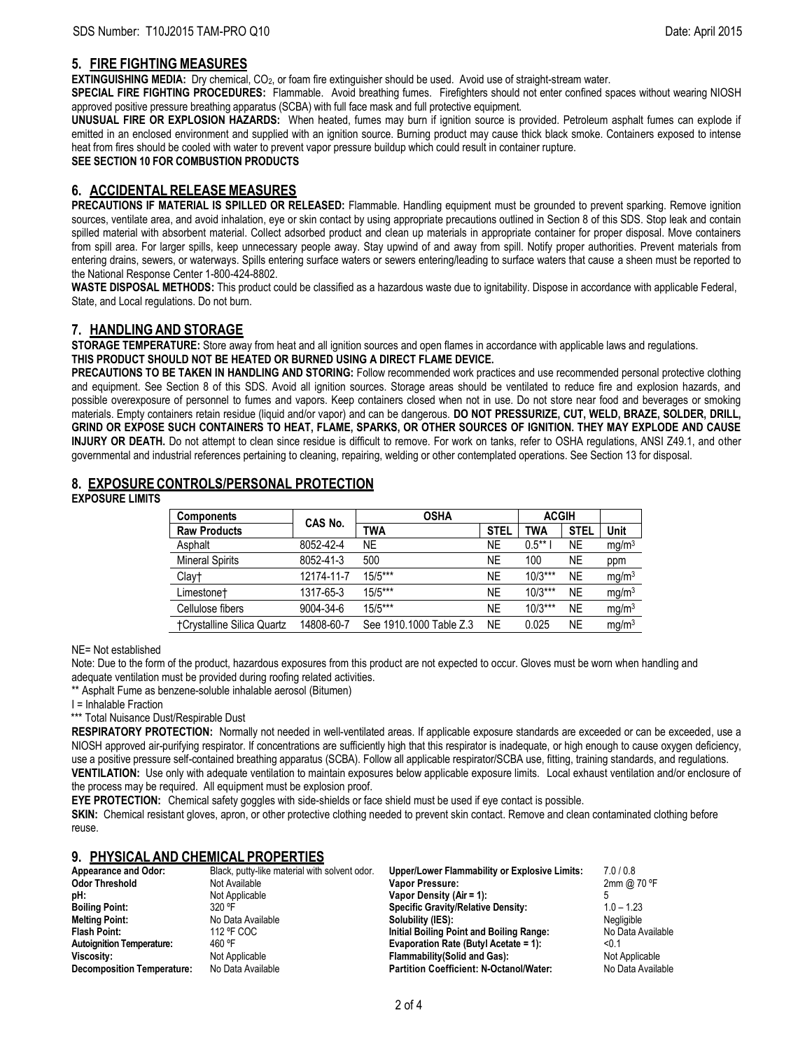# **5. FIRE FIGHTING MEASURES**

**EXTINGUISHING MEDIA:** Dry chemical, CO<sub>2</sub>, or foam fire extinguisher should be used. Avoid use of straight-stream water.

**SPECIAL FIRE FIGHTING PROCEDURES:** Flammable. Avoid breathing fumes. Firefighters should not enter confined spaces without wearing NIOSH approved positive pressure breathing apparatus (SCBA) with full face mask and full protective equipment.

**UNUSUAL FIRE OR EXPLOSION HAZARDS:** When heated, fumes may burn if ignition source is provided. Petroleum asphalt fumes can explode if emitted in an enclosed environment and supplied with an ignition source. Burning product may cause thick black smoke. Containers exposed to intense heat from fires should be cooled with water to prevent vapor pressure buildup which could result in container rupture. **SEE SECTION 10 FOR COMBUSTION PRODUCTS**

**6. ACCIDENTAL RELEASE MEASURES**

**PRECAUTIONS IF MATERIAL IS SPILLED OR RELEASED:** Flammable. Handling equipment must be grounded to prevent sparking. Remove ignition sources, ventilate area, and avoid inhalation, eye or skin contact by using appropriate precautions outlined in Section 8 of this SDS. Stop leak and contain spilled material with absorbent material. Collect adsorbed product and clean up materials in appropriate container for proper disposal. Move containers from spill area. For larger spills, keep unnecessary people away. Stay upwind of and away from spill. Notify proper authorities. Prevent materials from entering drains, sewers, or waterways. Spills entering surface waters or sewers entering/leading to surface waters that cause a sheen must be reported to the National Response Center 1-800-424-8802.

**WASTE DISPOSAL METHODS:** This product could be classified as a hazardous waste due to ignitability. Dispose in accordance with applicable Federal, State, and Local regulations. Do not burn.

# **7. HANDLING AND STORAGE**

**STORAGE TEMPERATURE:** Store away from heat and all ignition sources and open flames in accordance with applicable laws and regulations. **THIS PRODUCT SHOULD NOT BE HEATED OR BURNED USING A DIRECT FLAME DEVICE.**

**PRECAUTIONS TO BE TAKEN IN HANDLING AND STORING:** Follow recommended work practices and use recommended personal protective clothing and equipment. See Section 8 of this SDS. Avoid all ignition sources. Storage areas should be ventilated to reduce fire and explosion hazards, and possible overexposure of personnel to fumes and vapors. Keep containers closed when not in use. Do not store near food and beverages or smoking materials. Empty containers retain residue (liquid and/or vapor) and can be dangerous. **DO NOT PRESSURIZE, CUT, WELD, BRAZE, SOLDER, DRILL, GRIND OR EXPOSE SUCH CONTAINERS TO HEAT, FLAME, SPARKS, OR OTHER SOURCES OF IGNITION. THEY MAY EXPLODE AND CAUSE INJURY OR DEATH.** Do not attempt to clean since residue is difficult to remove. For work on tanks, refer to OSHA regulations, ANSI Z49.1, and other governmental and industrial references pertaining to cleaning, repairing, welding or other contemplated operations. See Section 13 for disposal.

# **8. EXPOSURE CONTROLS/PERSONAL PROTECTION**

**EXPOSURE LIMITS** 

| <b>Components</b>          | CAS No.    | <b>OSHA</b>             |             | <b>ACGIH</b> |             |                   |
|----------------------------|------------|-------------------------|-------------|--------------|-------------|-------------------|
| <b>Raw Products</b>        |            | <b>TWA</b>              | <b>STEL</b> | TWA          | <b>STEL</b> | Unit              |
| Asphalt                    | 8052-42-4  | NE                      | <b>NE</b>   | $0.5***$     | NE.         | mg/m <sup>3</sup> |
| <b>Mineral Spirits</b>     | 8052-41-3  | 500                     | NE          | 100          | <b>NE</b>   | ppm               |
| Clay†                      | 12174-11-7 | $15/5***$               | NE          | $10/3***$    | <b>NE</b>   | mg/m <sup>3</sup> |
| Limestone <sup>†</sup>     | 1317-65-3  | $15/5***$               | <b>NE</b>   | $10/3***$    | <b>NE</b>   | mg/m <sup>3</sup> |
| Cellulose fibers           | 9004-34-6  | $15/5***$               | NE          | $10/3***$    | <b>NE</b>   | mg/m <sup>3</sup> |
| †Crystalline Silica Quartz | 14808-60-7 | See 1910.1000 Table Z.3 | <b>NE</b>   | 0.025        | <b>NE</b>   | mg/m <sup>3</sup> |

NE= Not established

Note: Due to the form of the product, hazardous exposures from this product are not expected to occur. Gloves must be worn when handling and adequate ventilation must be provided during roofing related activities.

\*\* Asphalt Fume as benzene-soluble inhalable aerosol (Bitumen)

I = Inhalable Fraction

\*\*\* Total Nuisance Dust/Respirable Dust

**RESPIRATORY PROTECTION:** Normally not needed in well-ventilated areas. If applicable exposure standards are exceeded or can be exceeded, use a NIOSH approved air-purifying respirator. If concentrations are sufficiently high that this respirator is inadequate, or high enough to cause oxygen deficiency, use a positive pressure self-contained breathing apparatus (SCBA). Follow all applicable respirator/SCBA use, fitting, training standards, and regulations. **VENTILATION:** Use only with adequate ventilation to maintain exposures below applicable exposure limits. Local exhaust ventilation and/or enclosure of the process may be required. All equipment must be explosion proof.

**EYE PROTECTION:** Chemical safety goggles with side-shields or face shield must be used if eye contact is possible.

**SKIN:** Chemical resistant gloves, apron, or other protective clothing needed to prevent skin contact. Remove and clean contaminated clothing before reuse.

# **9. PHYSICAL AND CHEMICAL PROPERTIES**

| Appearance and Odor:              | Black, putty-like material with solvent odor. | Upper/Lower Flammability or Explosive Limits:  | 7.0/0.8           |
|-----------------------------------|-----------------------------------------------|------------------------------------------------|-------------------|
| <b>Odor Threshold</b>             | Not Available                                 | Vapor Pressure:                                | 2mm @ 70 °F       |
| pH:                               | Not Applicable                                | Vapor Density (Air = 1):                       |                   |
| <b>Boiling Point:</b>             | 320 °F                                        | <b>Specific Gravity/Relative Density:</b>      | $1.0 - 1.23$      |
| <b>Melting Point:</b>             | No Data Available                             | Solubility (IES):                              | Negligible        |
| <b>Flash Point:</b>               | 112 °F COC                                    | Initial Boiling Point and Boiling Range:       | No Data Available |
| <b>Autoignition Temperature:</b>  | 460 °F                                        | Evaporation Rate (Butyl Acetate = 1):          | < 0.1             |
| Viscosity:                        | Not Applicable                                | <b>Flammability (Solid and Gas):</b>           | Not Applicable    |
| <b>Decomposition Temperature:</b> | No Data Available                             | <b>Partition Coefficient: N-Octanol/Water:</b> | No Data Available |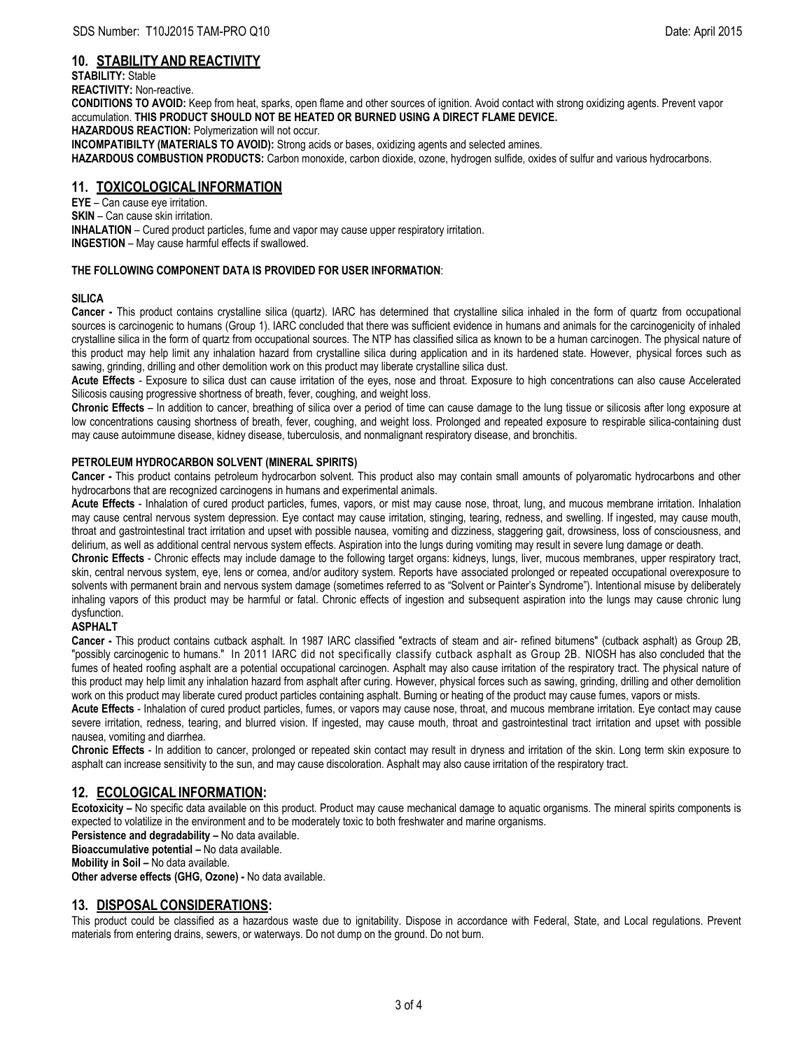# **10. STABILITY AND REACTIVITY**

**STABILITY:** Stable **REACTIVITY:** Non-reactive. **CONDITIONS TO AVOID:** Keep from heat, sparks, open flame and other sources of ignition. Avoid contact with strong oxidizing agents. Prevent vapor accumulation. **THIS PRODUCT SHOULD NOT BE HEATED OR BURNED USING A DIRECT FLAME DEVICE. HAZARDOUS REACTION:** Polymerization will not occur.

**INCOMPATIBILTY (MATERIALS TO AVOID):** Strong acids or bases, oxidizing agents and selected amines.

**HAZARDOUS COMBUSTION PRODUCTS:** Carbon monoxide, carbon dioxide, ozone, hydrogen sulfide, oxides of sulfur and various hydrocarbons.

# **11. TOXICOLOGICALINFORMATION**

**EYE** – Can cause eye irritation. **SKIN** – Can cause skin irritation. **INHALATION** – Cured product particles, fume and vapor may cause upper respiratory irritation. **INGESTION** – May cause harmful effects if swallowed.

## **THE FOLLOWING COMPONENT DATA IS PROVIDED FOR USER INFORMATION**:

## **SILICA**

**Cancer -** This product contains crystalline silica (quartz). IARC has determined that crystalline silica inhaled in the form of quartz from occupational sources is carcinogenic to humans (Group 1). IARC concluded that there was sufficient evidence in humans and animals for the carcinogenicity of inhaled crystalline silica in the form of quartz from occupational sources. The NTP has classified silica as known to be a human carcinogen. The physical nature of this product may help limit any inhalation hazard from crystalline silica during application and in its hardened state. However, physical forces such as sawing, grinding, drilling and other demolition work on this product may liberate crystalline silica dust.

**Acute Effects** - Exposure to silica dust can cause irritation of the eyes, nose and throat. Exposure to high concentrations can also cause Accelerated Silicosis causing progressive shortness of breath, fever, coughing, and weight loss.

**Chronic Effects** – In addition to cancer, breathing of silica over a period of time can cause damage to the lung tissue or silicosis after long exposure at low concentrations causing shortness of breath, fever, coughing, and weight loss. Prolonged and repeated exposure to respirable silica-containing dust may cause autoimmune disease, kidney disease, tuberculosis, and nonmalignant respiratory disease, and bronchitis.

## **PETROLEUM HYDROCARBON SOLVENT (MINERAL SPIRITS)**

**Cancer -** This product contains petroleum hydrocarbon solvent. This product also may contain small amounts of polyaromatic hydrocarbons and other hydrocarbons that are recognized carcinogens in humans and experimental animals.

**Acute Effects** - Inhalation of cured product particles, fumes, vapors, or mist may cause nose, throat, lung, and mucous membrane irritation. Inhalation may cause central nervous system depression. Eye contact may cause irritation, stinging, tearing, redness, and swelling. If ingested, may cause mouth, throat and gastrointestinal tract irritation and upset with possible nausea, vomiting and dizziness, staggering gait, drowsiness, loss of consciousness, and delirium, as well as additional central nervous system effects. Aspiration into the lungs during vomiting may result in severe lung damage or death.

**Chronic Effects** - Chronic effects may include damage to the following target organs: kidneys, lungs, liver, mucous membranes, upper respiratory tract, skin, central nervous system, eye, lens or cornea, and/or auditory system. Reports have associated prolonged or repeated occupational overexposure to solvents with permanent brain and nervous system damage (sometimes referred to as "Solvent or Painter's Syndrome"). Intentional misuse by deliberately inhaling vapors of this product may be harmful or fatal. Chronic effects of ingestion and subsequent aspiration into the lungs may cause chronic lung dysfunction.

# **ASPHALT**

**Cancer -** This product contains cutback asphalt. In 1987 IARC classified "extracts of steam and air- refined bitumens" (cutback asphalt) as Group 2B, "possibly carcinogenic to humans." In 2011 IARC did not specifically classify cutback asphalt as Group 2B. NIOSH has also concluded that the fumes of heated roofing asphalt are a potential occupational carcinogen. Asphalt may also cause irritation of the respiratory tract. The physical nature of this product may help limit any inhalation hazard from asphalt after curing. However, physical forces such as sawing, grinding, drilling and other demolition work on this product may liberate cured product particles containing asphalt. Burning or heating of the product may cause fumes, vapors or mists.

**Acute Effects** - Inhalation of cured product particles, fumes, or vapors may cause nose, throat, and mucous membrane irritation. Eye contact may cause severe irritation, redness, tearing, and blurred vision. If ingested, may cause mouth, throat and gastrointestinal tract irritation and upset with possible nausea, vomiting and diarrhea.

**Chronic Effects** - In addition to cancer, prolonged or repeated skin contact may result in dryness and irritation of the skin. Long term skin exposure to asphalt can increase sensitivity to the sun, and may cause discoloration. Asphalt may also cause irritation of the respiratory tract.

# **12. ECOLOGICAL INFORMATION:**

**Ecotoxicity –** No specific data available on this product. Product may cause mechanical damage to aquatic organisms. The mineral spirits components is expected to volatilize in the environment and to be moderately toxic to both freshwater and marine organisms.

**Persistence and degradability - No data available.** 

**Bioaccumulative potential - No data available.** 

**Mobility in Soil - No data available.** 

**Other adverse effects (GHG, Ozone) -** No data available.

# **13. DISPOSAL CONSIDERATIONS:**

This product could be classified as a hazardous waste due to ignitability. Dispose in accordance with Federal, State, and Local regulations. Prevent materials from entering drains, sewers, or waterways. Do not dump on the ground. Do not burn.